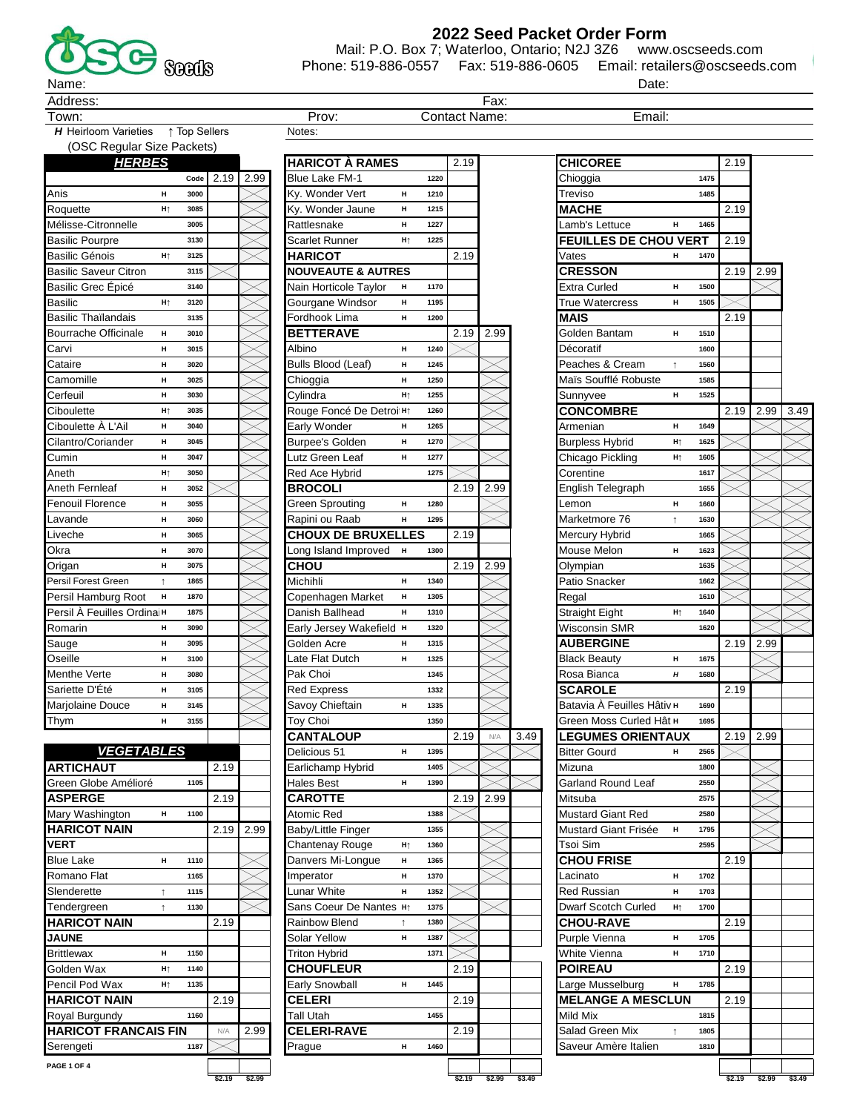

2022 Seed Packet Order Form

Date:

Email:

Mail: P.O. Box 7; Waterloo, Ontario; N2J 3Z6 www.oscseeds.com Phone: 519-886-0557 Fax: 519-886-0605 Email: retailers@oscseeds.com

 $Fax$ 

Address

Town:

H Heirloom Varieties 1 Top Sellers

(OSC Regular Size Packets) **HERBES** Code 2.19 2.99 Anis 3000  $H$  $H<sub>1</sub>$ 3085 Roquette Mélisse-Citronnelle 3005 **Basilic Pourpre** 3130 **Basilic Génois** 3125  $H<sub>1</sub>$ **Basilic Saveur Citron** 3115 Basilic Grec Épicé 3140 Basilic  $\mathbf{H}\uparrow$ 3120  $3135$ Basilic Thaïlandais Bourrache Officinale  $\mathbf H$ 3010 3015 Carvi  $\bar{\mathbf{H}}$ 3020 Cataire  $\pmb{\mathsf{H}}$ 3025 Camomille  $\blacksquare$  $\boldsymbol{\mathsf{H}}$ Cerfeuil 3030 Ciboulette  $\mathbf{H}\uparrow$ 3035 Ciboulette À L'Ail  $\blacksquare$ 3040 Cilantro/Coriander  $\bar{\mathbf{H}}$ 3045 Cumin  $\overline{H}$ 3047 3050 Aneth  $H<sub>1</sub>$ Aneth Fernleaf  $H$  $3052$ Fenouil Florence  $\mathbf H$ 3055 3060 Lavande  $\bar{\mathbf{H}}$ 3065  $\blacksquare$ Liveche 3070 Okra  $\blacksquare$  $\mathbf H$ 3075 Origan Persil Forest Green 1865  $\uparrow$ Persil Hamburg Root  $\blacksquare$ 1870 Persil À Feuilles Ordinain 1875 3090 Romarin  $H$  $\,$  H 3095 Sauge  $3100$ Oseille  $\mathbf H$ Menthe Verte  $\mathbf H$ 3080 Sariette D'Été 3105  $\boldsymbol{\mathsf{H}}$ Marjolaine Douce  $\blacksquare$ 3145 Thym  $\boldsymbol{\mathsf{H}}$ 3155 **VEGETABLES ARTICHAUT** 2.19 Green Globe Amélioré 1105 **ASPERGE** 2.19 1100 Mary Washington  $\mathbf H$ **HARICOT NAIN**  $2.19$ 2.99 **VERT Blue Lake** 1110  $H$ 1165 Romano Flat Slenderette 1115  $\uparrow$ 1130 Tendergreen  $\uparrow$ **HARICOT NAIN** 2.19 **JAUNE Brittlewax**  $\overline{H}$ 1150 Golden Wax 1140  $H<sub>†</sub>$ 1135 Pencil Pod Wax  $H<sub>†</sub>$ **HARICOT NAIN**  $2.19$ Royal Burgundy 1160 **HARICOT FRANCAIS FIN** 2.99  $N/A$ 

| Prov:                         |    |      | <b>Contact Name:</b> |      |      |
|-------------------------------|----|------|----------------------|------|------|
| Notes:                        |    |      |                      |      |      |
|                               |    |      |                      |      |      |
| <b>HARICOT À RAMES</b>        |    |      | 2.19                 |      |      |
| <b>Blue Lake FM-1</b>         |    | 1220 |                      |      |      |
| Ky. Wonder Vert               | н  | 1210 |                      |      |      |
| Ky. Wonder Jaune              | н  | 1215 |                      |      |      |
| Rattlesnake                   | н  | 1227 |                      |      |      |
| Scarlet Runner                | Hţ | 1225 |                      |      |      |
| <b>HARICOT</b>                |    |      | 2.19                 |      |      |
| <b>NOUVEAUTE &amp; AUTRES</b> |    |      |                      |      |      |
| Nain Horticole Taylor         | н  | 1170 |                      |      |      |
| Gourgane Windsor              | н  | 1195 |                      |      |      |
| Fordhook Lima                 | н  | 1200 |                      |      |      |
| <b>BETTERAVE</b>              |    |      | 2.19                 | 2.99 |      |
| Albino                        | н  | 1240 |                      |      |      |
| Bulls Blood (Leaf)            | н  | 1245 |                      |      |      |
|                               | н  | 1250 |                      |      |      |
| Chioggia                      |    | 1255 |                      |      |      |
| Cylindra                      | Hţ | 1260 |                      |      |      |
| Rouge Foncé De Detroi Ht      |    |      |                      |      |      |
| Early Wonder                  | н  | 1265 |                      |      |      |
| <b>Burpee's Golden</b>        | н  | 1270 |                      |      |      |
| Lutz Green Leaf               | н  | 1277 |                      |      |      |
| Red Ace Hybrid                |    | 1275 |                      |      |      |
| <b>BROCOLI</b>                |    |      | $\overline{2}.19$    | 2.99 |      |
| Green Sprouting               | н  | 1280 |                      |      |      |
| Rapini ou Raab                | н  | 1295 |                      |      |      |
| <b>CHOUX DE BRUXELLES</b>     |    |      | 2.19                 |      |      |
| Long Island Improved          | н  | 1300 |                      |      |      |
| <b>CHOU</b>                   |    |      | 2.19                 | 2.99 |      |
| Michihli                      | н  | 1340 |                      |      |      |
| Copenhagen Market             | н  | 1305 |                      |      |      |
| Danish Ballhead               | н  | 1310 |                      |      |      |
| Early Jersey Wakefield        | н  | 1320 |                      |      |      |
| Golden Acre                   | н  | 1315 |                      |      |      |
| Late Flat Dutch               | н  | 1325 |                      |      |      |
| Pak Choi                      |    | 1345 |                      |      |      |
| <b>Red Express</b>            |    | 1332 |                      |      |      |
| Savoy Chieftain               | н  | 1335 |                      |      |      |
| Toy Choi                      |    | 1350 |                      |      |      |
| <b>CANTALOUP</b>              |    |      | 2.19                 | N/A  | 3.49 |
| Delicious 51                  | н  | 1395 |                      |      |      |
| Earlichamp Hybrid             |    | 1405 |                      |      |      |
| <b>Hales Best</b>             | н  | 1390 |                      |      |      |
| <b>CAROTTE</b>                |    |      | 2.19                 | 2.99 |      |
| Atomic Red                    |    | 1388 |                      |      |      |
| Baby/Little Finger            |    | 1355 |                      |      |      |
|                               | H↑ | 1360 |                      |      |      |
| Chantenay Rouge               | н  |      |                      |      |      |
| Danvers Mi-Longue             |    | 1365 |                      |      |      |
| Imperator                     | н  | 1370 |                      |      |      |
| <b>Lunar White</b>            | н  | 1352 |                      |      |      |
| Sans Coeur De Nantes          | Hţ | 1375 |                      |      |      |
| Rainbow Blend                 | ↑  | 1380 |                      |      |      |
| <b>Solar Yellow</b>           | н  | 1387 |                      |      |      |
| <b>Triton Hybrid</b>          |    | 1371 |                      |      |      |
| <b>CHOUFLEUR</b>              |    |      | 2.19                 |      |      |
| Early Snowball                | н  | 1445 |                      |      |      |
| <b>CELERI</b>                 |    |      | 2.19                 |      |      |
| <b>Tall Utah</b>              |    | 1455 |                      |      |      |
| <b>CELERI-RAVE</b>            |    |      | 2.19                 |      |      |
| Prague                        | н  | 1460 |                      |      |      |
|                               |    |      |                      |      |      |

| <b>CHICOREE</b>                          |      | 2.19 |      |      |
|------------------------------------------|------|------|------|------|
| Chioggia                                 | 1475 |      |      |      |
| Treviso                                  | 1485 |      |      |      |
| <b>MACHE</b>                             |      | 2.19 |      |      |
| Lamb's Lettuce<br>H                      | 1465 |      |      |      |
| <b>FEUILLES DE CHOU VERT</b>             |      | 2.19 |      |      |
| Vates<br>н                               | 1470 |      |      |      |
| <b>CRESSON</b>                           |      | 2.19 | 2.99 |      |
| Extra Curled<br>н                        | 1500 |      |      |      |
| <b>True Watercress</b><br>н              | 1505 |      |      |      |
| MAIS                                     |      | 2.19 |      |      |
| Golden Bantam<br>H                       | 1510 |      |      |      |
| Décoratif                                | 1600 |      |      |      |
| Peaches & Cream<br>Ť                     | 1560 |      |      |      |
| Maïs Soufflé Robuste                     | 1585 |      |      |      |
| Sunnyvee<br>н                            | 1525 |      |      |      |
| <b>CONCOMBRE</b>                         |      | 2.19 | 2.99 | 3.49 |
| Armenian<br>н                            | 1649 |      |      |      |
| <b>Burpless Hybrid</b><br>H <sub>Ť</sub> | 1625 |      |      |      |
| Chicago Pickling<br>Ht                   | 1605 |      |      |      |
| Corentine                                | 1617 |      |      |      |
| English Telegraph                        | 1655 |      |      |      |
| Lemon<br>н                               | 1660 |      |      |      |
| Marketmore 76<br>î                       | 1630 |      |      |      |
| Mercury Hybrid                           | 1665 |      |      |      |
| н<br>Mouse Melon                         | 1623 |      |      |      |
| Olympian                                 | 1635 |      |      |      |
| Patio Snacker                            | 1662 |      |      |      |
| Regal                                    | 1610 |      |      |      |
| Straight Eight<br>Ht                     | 1640 |      |      |      |
| Wisconsin SMR                            | 1620 |      |      |      |
| <b>AUBERGINE</b>                         |      | 2.19 | 2.99 |      |
| <b>Black Beauty</b><br>н                 | 1675 |      |      |      |
| Rosa Bianca<br>Н                         | 1680 |      |      |      |
| <b>SCAROLE</b>                           |      | 2.19 |      |      |
| Batavia À Feuilles Hâtiv н               | 1690 |      |      |      |
| Green Moss Curled Hât H                  | 1695 |      |      |      |
| <b>LEGUMES ORIENTAUX</b>                 |      | 2.19 | 2.99 |      |
| <b>Bitter Gourd</b><br>H                 | 2565 |      |      |      |
| Mizuna                                   | 1800 |      |      |      |
| Garland Round Leaf                       | 2550 |      |      |      |
| Mitsuba                                  | 2575 |      |      |      |
| Mustard Giant Red                        | 2580 |      |      |      |
| <b>Mustard Giant Frisée</b><br>н         | 1795 |      |      |      |
| Tsoi Sim                                 | 2595 |      |      |      |
| <b>CHOU FRISE</b>                        |      | 2.19 |      |      |
| Lacinato<br>н                            | 1702 |      |      |      |
| Red Russian<br>н                         | 1703 |      |      |      |
| Dwarf Scotch Curled<br>H <sub>Ť</sub>    | 1700 |      |      |      |
| <b>CHOU-RAVE</b>                         |      | 2.19 |      |      |
| Purple Vienna<br>н                       | 1705 |      |      |      |
| White Vienna<br>н                        | 1710 |      |      |      |
| <b>POIREAU</b>                           |      | 2.19 |      |      |
| Large Musselburg<br>н                    | 1785 |      |      |      |
| <b>MELANGE A MESCLUN</b>                 |      | 2.19 |      |      |
| Mild Mix                                 | 1815 |      |      |      |
| Salad Green Mix<br>Ť                     | 1805 |      |      |      |
| Saveur Amère Italien                     | 1810 |      |      |      |
|                                          |      |      |      |      |

PAGE 1 OF 4

Serengeti

1187  $\!>\!$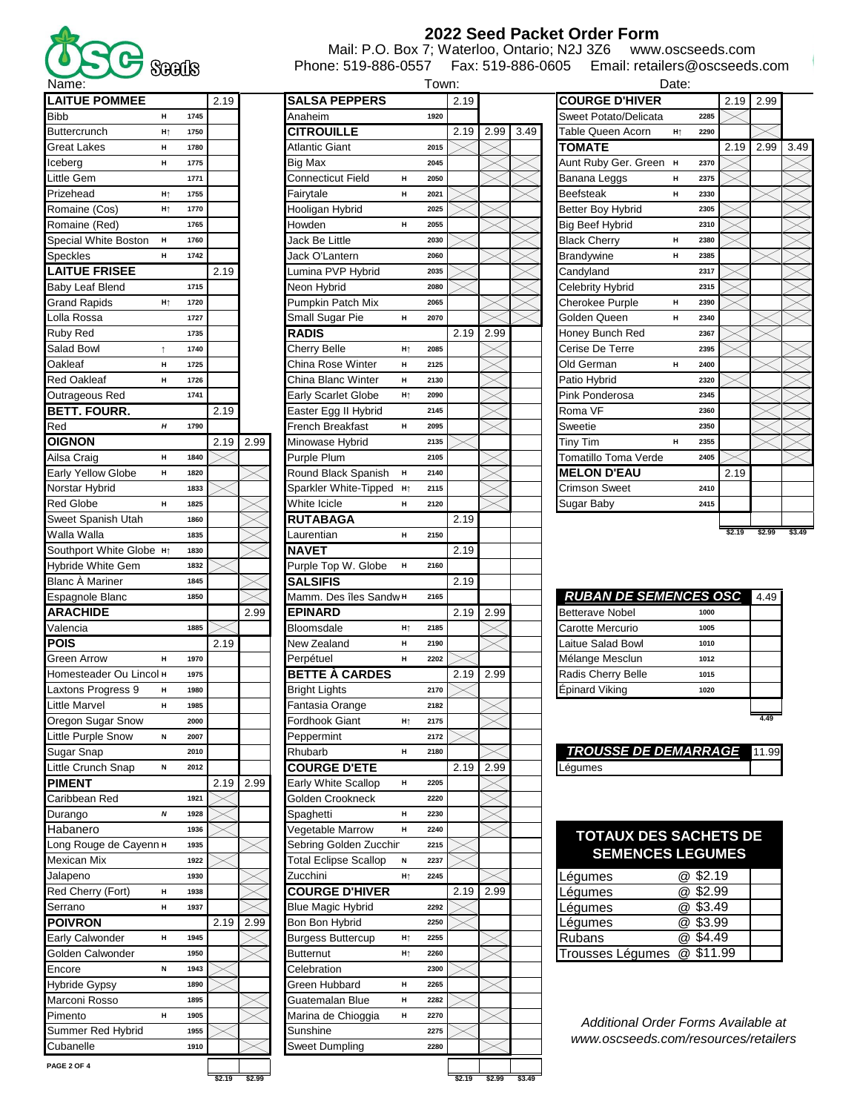

## **2022 Seed Packet Order Form**

Phone: 519-886-0557 Fax: 519-886-0605 Email: retailers@oscseeds.com Mail: P.O. Box 7; Waterloo, Ontario; N2J 3Z6 www.oscseeds.com

| <b>LAITUE POMMEE</b>                   |                |              | 2.19 |      | SALSA PEPPERS                |    |              | 2.19 |
|----------------------------------------|----------------|--------------|------|------|------------------------------|----|--------------|------|
| <b>Bibb</b>                            | н              | 1745         |      |      | Anaheim                      |    | 1920         |      |
| Buttercrunch                           | H <sub>Ť</sub> | 1750         |      |      | <b>CITROUILLE</b>            |    |              | 2.19 |
| Great Lakes                            | н              | 1780         |      |      | Atlantic Giant               |    | 2015         |      |
| Iceberg                                | н              | 1775         |      |      | <b>Big Max</b>               |    | 2045         |      |
| Little Gem                             |                | 1771         |      |      | <b>Connecticut Field</b>     | н  | 2050         |      |
| Prizehead                              | H <sub>Ť</sub> | 1755         |      |      | Fairytale                    | н  | 2021         |      |
| Romaine (Cos)                          | H              | 1770         |      |      | Hooligan Hybrid              |    | 2025         |      |
| Romaine (Red)                          |                | 1765         |      |      | Howden                       | н  | 2055         |      |
| Special White Boston                   |                | 1760         |      |      | Jack Be Little               |    | 2030         |      |
|                                        | н              |              |      |      |                              |    |              |      |
| Speckles                               | н              | 1742         |      |      | Jack O'Lantern               |    | 2060         |      |
| <b>LAITUE FRISEE</b>                   |                |              | 2.19 |      | Lumina PVP Hybrid            |    | 2035         |      |
| Baby Leaf Blend                        |                | 1715         |      |      | Neon Hybrid                  |    | 2080         |      |
| <b>Grand Rapids</b>                    | H <sub>Ť</sub> | 1720         |      |      | Pumpkin Patch Mix            |    | 2065         |      |
| Lolla Rossa                            |                | 1727         |      |      | Small Sugar Pie              | н  | 2070         |      |
| Ruby Red                               |                | 1735         |      |      | RADIS                        |    |              | 2.19 |
| Salad Bowl                             | Ť              | 1740         |      |      | Cherry Belle                 | H  | 2085         |      |
| Oakleaf                                | н              | 1725         |      |      | China Rose Winter            | н  | 2125         |      |
| Red Oakleaf                            | н              | 1726         |      |      | China Blanc Winter           | н  | 2130         |      |
| Outrageous Red                         |                | 1741         |      |      | Early Scarlet Globe          | Hţ | 2090         |      |
| <b>BETT. FOURR.</b>                    |                |              | 2.19 |      | Easter Egg II Hybrid         |    | 2145         |      |
| Red                                    | н              | 1790         |      |      | French Breakfast             | н  | 2095         |      |
| OIGNON                                 |                |              | 2.19 | 2.99 | Minowase Hybrid              |    | 2135         |      |
| Ailsa Craig                            | н              | 1840         |      |      | Purple Plum                  |    | 2105         |      |
| <b>Early Yellow Globe</b>              | н              | 1820         |      |      | Round Black Spanish          | н  | 2140         |      |
| Norstar Hybrid                         |                | 1833         |      |      |                              | H  | 2115         |      |
|                                        |                |              |      |      | Sparkler White-Tipped        |    |              |      |
| <b>Red Globe</b>                       | н              | 1825         |      |      | White Icicle                 | н  | 2120         |      |
| Sweet Spanish Utah                     |                | 1860         |      |      | RUTABAGA                     |    |              | 2.19 |
| Walla Walla                            |                | 1835         |      |      | Laurentian                   | н  | 2150         |      |
| Southport White Globe $H$ <sup>1</sup> |                | 1830         |      |      | <b>NAVET</b>                 |    |              | 2.19 |
| Hybride White Gem                      |                | 1832         |      |      | Purple Top W. Globe          | н  | 2160         |      |
| Blanc A Mariner                        |                | 1845         |      |      |                              |    |              | 2.19 |
|                                        |                |              |      |      | SALSIFIS                     |    |              |      |
| Espagnole Blanc                        |                | 1850         |      |      | Mamm. Des îles Sandw н       |    | 2165         |      |
| <b>ARACHIDE</b>                        |                |              |      | 2.99 | <b>EPINARD</b>               |    |              | 2.19 |
| Valencia                               |                | 1885         |      |      | Bloomsdale                   | H  | 2185         |      |
| POIS                                   |                |              | 2.19 |      | New Zealand                  | н  | 2190         |      |
| Green Arrow                            | н              | 1970         |      |      | Perpétuel                    | н  | 2202         |      |
| Homesteader Ou Lincol н                |                | 1975         |      |      |                              |    |              | 2.19 |
|                                        | н              | 1980         |      |      | <b>BETTE À CARDES</b>        |    | 2170         |      |
| Laxtons Progress 9                     | н              | 1985         |      |      | <b>Bright Lights</b>         |    | 2182         |      |
| Little Marvel                          |                | 2000         |      |      | Fantasia Orange              | H  | 2175         |      |
| Oregon Sugar Snow                      |                |              |      |      | <b>Fordhook Giant</b>        |    |              |      |
| Little Purple Snow                     | N              | 2007         |      |      | Peppermint                   |    | 2172         |      |
| Sugar Snap                             |                | 2010         |      |      | Rhubarb                      | н  | 2180         |      |
| Little Crunch Snap                     | N              | 2012         |      |      | <b>COURGE D'ETE</b>          |    |              | 2.19 |
| <b>PIMENT</b>                          |                |              | 2.19 | 2.99 | Early White Scallop          | н  | 2205         |      |
| Caribbean Red                          |                | 1921         |      |      | Golden Crookneck             |    | 2220         |      |
| Durango                                | Ν              | 1928         |      |      | Spaghetti                    | н  | 2230         |      |
| Habanero                               |                | 1936         |      |      | Vegetable Marrow             | н  | 2240         |      |
| Long Rouge de Cayenn H                 |                | 1935         |      |      | Sebring Golden Zucchin       |    | 2215         |      |
| Mexican Mix                            |                | 1922         |      |      | <b>Total Eclipse Scallop</b> | N  | 2237         |      |
| Jalapeno                               |                | 1930         |      |      | Zucchini                     | Hţ | 2245         |      |
| Red Cherry (Fort)                      | н              | 1938         |      |      | <b>COURGE D'HIVER</b>        |    |              | 2.19 |
| Serrano                                | н              | 1937         |      |      | <b>Blue Magic Hybrid</b>     |    | 2292         |      |
| <b>POIVRON</b>                         |                |              | 2.19 | 2.99 | Bon Bon Hybrid               |    | 2250         |      |
| Early Calwonder                        | н              | 1945         |      |      | <b>Burgess Buttercup</b>     | Hţ | 2255         |      |
| Golden Calwonder                       |                | 1950         |      |      | Butternut                    | Hţ | 2260         |      |
|                                        | N              | 1943         |      |      | Celebration                  |    | 2300         |      |
| Encore                                 |                | 1890         |      |      |                              | н  | 2265         |      |
| Hybride Gypsy                          |                | 1895         |      |      | Green Hubbard                |    |              |      |
| Marconi Rosso                          |                |              |      |      | Guatemalan Blue              | н  | 2282         |      |
| Pimento                                | н              | 1905         |      |      | Marina de Chioggia           | н  | 2270         |      |
| Summer Red Hybrid<br>Cubanelle         |                | 1955<br>1910 |      |      | Sunshine<br>Sweet Dumpling   |    | 2275<br>2280 |      |

| Name:                              |                |      |        |        |                              | Town:                  |        |           |               | Date:                                |           |        |        |        |
|------------------------------------|----------------|------|--------|--------|------------------------------|------------------------|--------|-----------|---------------|--------------------------------------|-----------|--------|--------|--------|
| <b>LAITUE POMMEE</b>               |                |      | 2.19   |        | <b>SALSA PEPPERS</b>         |                        | 2.19   |           |               | <b>COURGE D'HIVER</b>                |           | 2.19   | 2.99   |        |
| Bibb                               | н              | 1745 |        |        | Anaheim                      | 1920                   |        |           |               | Sweet Potato/Delicata                | 2285      |        |        |        |
| <b>Buttercrunch</b>                | Ht             | 1750 |        |        | <b>CITROUILLE</b>            |                        | 2.19   | 2.99      | 3.49          | Table Queen Acorn<br>H               | 2290      |        |        |        |
| Great Lakes                        | н              | 1780 |        |        | Atlantic Giant               | 2015                   |        |           |               | <b>TOMATE</b>                        |           | 2.19   | 2.99   | 3.49   |
| Iceberg                            | н              | 1775 |        |        | Big Max                      | 2045                   |        |           |               | Aunt Ruby Ger. Green H               | 2370      |        |        |        |
| Little Gem                         |                | 1771 |        |        | Connecticut Field            | н<br>2050              |        |           |               | Banana Leggs<br>н                    | 2375      |        |        |        |
| Prizehead                          | H <sub>↑</sub> | 1755 |        |        | Fairytale                    | н<br>2021              |        |           |               | Beefsteak<br>н                       | 2330      |        |        |        |
| Romaine (Cos)                      | H <sub>Ť</sub> | 1770 |        |        | Hooligan Hybrid              | 2025                   |        |           |               | Better Boy Hybrid                    | 2305      |        |        |        |
| Romaine (Red)                      |                | 1765 |        |        | Howden                       | н<br>2055              |        |           |               | Big Beef Hybrid                      | 2310      |        |        |        |
|                                    |                |      |        |        | Jack Be Little               |                        |        |           |               |                                      |           |        |        |        |
| Special White Boston               | н              | 1760 |        |        |                              | 2030                   |        |           |               | <b>Black Cherry</b><br>н             | 2380      |        |        |        |
| Speckles                           | н              | 1742 |        |        | Jack O'Lantern               | 2060                   |        |           |               | <b>Brandywine</b><br>н               | 2385      |        |        |        |
| <b>LAITUE FRISEE</b>               |                |      | 2.19   |        | Lumina PVP Hybrid            | 2035                   |        |           |               | Candyland                            | 2317      |        |        |        |
| Baby Leaf Blend                    |                | 1715 |        |        | Neon Hybrid                  | 2080                   |        |           |               | Celebrity Hybrid                     | 2315      |        |        |        |
| Grand Rapids                       | H <sub>Ť</sub> | 1720 |        |        | Pumpkin Patch Mix            | 2065                   |        |           |               | <b>Cherokee Purple</b><br>н          | 2390      |        |        |        |
| Lolla Rossa                        |                | 1727 |        |        | Small Sugar Pie              | 2070<br>н              |        |           |               | Golden Queen<br>н                    | 2340      |        |        |        |
| Ruby Red                           |                | 1735 |        |        | RADIS                        |                        | 2.19   | 2.99      |               | Honey Bunch Red                      | 2367      |        |        |        |
| Salad Bowl                         |                | 1740 |        |        | Cherry Belle                 | 2085<br>H <sub>Ť</sub> |        |           |               | Cerise De Terre                      | 2395      |        |        |        |
| Oakleaf                            | н              | 1725 |        |        | China Rose Winter            | 2125<br>н              |        |           |               | Old German<br>н                      | 2400      |        |        |        |
| Red Oakleaf                        | н              | 1726 |        |        | China Blanc Winter           | н<br>2130              |        |           |               | Patio Hybrid                         | 2320      |        |        |        |
| Outrageous Red                     |                | 1741 |        |        | Early Scarlet Globe          | Ht<br>2090             |        |           |               | Pink Ponderosa                       | 2345      |        |        |        |
| <b>BETT. FOURR.</b>                |                |      | 2.19   |        | Easter Egg II Hybrid         | 2145                   |        |           |               | Roma VF                              | 2360      |        |        |        |
| Red                                | н              | 1790 |        |        | French Breakfast             | н<br>2095              |        |           |               | Sweetie                              | 2350      |        |        |        |
| <b>OIGNON</b>                      |                |      | 2.19   | 2.99   | Minowase Hybrid              | 2135                   |        |           |               | Tiny Tim<br>н                        | 2355      |        |        |        |
| Ailsa Craig                        | н              | 1840 |        |        | <b>Purple Plum</b>           | 2105                   |        |           |               | Tomatillo Toma Verde                 | 2405      |        |        |        |
| Early Yellow Globe                 | н              | 1820 |        |        | Round Black Spanish          | н<br>2140              |        |           |               | <b>MELON D'EAU</b>                   |           | 2.19   |        |        |
| Norstar Hybrid                     |                | 1833 |        |        | Sparkler White-Tipped        | H <sub>1</sub><br>2115 |        |           |               | <b>Crimson Sweet</b>                 | 2410      |        |        |        |
| <b>Red Globe</b>                   | н              | 1825 |        |        | White Icicle                 | н<br>2120              |        |           |               | Sugar Baby                           | 2415      |        |        |        |
| Sweet Spanish Utah                 |                | 1860 |        |        | RUTABAGA                     |                        | 2.19   |           |               |                                      |           |        |        |        |
| Walla Walla                        |                | 1835 |        |        | Laurentian                   | н<br>2150              |        |           |               |                                      |           | \$2.19 | \$2.99 | \$3.49 |
| Southport White Globe Ht           |                | 1830 |        |        |                              |                        |        |           |               |                                      |           |        |        |        |
|                                    |                |      |        |        | NAVET                        |                        | 2.19   |           |               |                                      |           |        |        |        |
| Hybride White Gem                  |                | 1832 |        |        | Purple Top W. Globe          | н<br>2160              |        |           |               |                                      |           |        |        |        |
| Blanc À Mariner                    |                | 1845 |        |        | SALSIFIS                     |                        | 2.19   |           |               | <b>RUBAN DE SEMENCES OSC</b>         |           |        |        |        |
| Espagnole Blanc                    |                | 1850 |        |        | Матт. Des îles Sandw н       | 2165                   |        |           |               |                                      |           |        | 4.49   |        |
| ARACHIDE                           |                |      |        | 2.99   | <b>EPINARD</b>               |                        | 2.19   | 2.99      |               | <b>Betterave Nobel</b>               | 1000      |        |        |        |
| Valencia                           |                | 1885 |        |        | Bloomsdale                   | H↑<br>2185             |        |           |               | Carotte Mercurio                     | 1005      |        |        |        |
| POIS                               |                |      | 2.19   |        | New Zealand                  | н<br>2190              |        |           |               | Laitue Salad Bowl                    | 1010      |        |        |        |
| Green Arrow                        | н              | 1970 |        |        | Perpétuel                    | 2202<br>н              |        |           |               | Mélange Mesclun                      | 1012      |        |        |        |
| Homesteader Ou Lincol <sup>H</sup> |                | 1975 |        |        | <b>BETTE À CARDES</b>        |                        | 2.19   | 2.99      |               | Radis Cherry Belle                   | 1015      |        |        |        |
| Laxtons Progress 9                 | н              | 1980 |        |        | Bright Lights                | 2170                   |        |           |               | Épinard Viking                       | 1020      |        |        |        |
| Little Marvel                      | н              | 1985 |        |        | Fantasia Orange              | 2182                   |        |           |               |                                      |           |        |        |        |
| Oregon Sugar Snow                  |                | 2000 |        |        | Fordhook Giant               | H↑<br>2175             |        |           |               |                                      |           |        | 4.49   |        |
| Little Purple Snow                 | N              | 2007 |        |        | Peppermint                   | 2172                   |        |           |               |                                      |           |        |        |        |
| Sugar Snap                         |                | 2010 |        |        | Rhubarb                      | н<br>2180              |        |           |               | <b>TROUSSE DE DEMARRAGE</b>          |           |        | 11.99  |        |
| Little Crunch Snap                 | N              | 2012 |        |        | <b>COURGE D'ETE</b>          |                        |        | 2.19 2.99 |               | Léqumes                              |           |        |        |        |
| <b>PIMENT</b>                      |                |      | 2.19   | 2.99   | Early White Scallop          | н<br>2205              |        |           |               |                                      |           |        |        |        |
| Caribbean Red                      |                | 1921 |        |        | Golden Crookneck             | 2220                   |        |           |               |                                      |           |        |        |        |
| Durango                            | N              | 1928 |        |        | Spaghetti                    | н<br>2230              |        |           |               |                                      |           |        |        |        |
| Habanero                           |                | 1936 |        |        | Vegetable Marrow             | н<br>2240              |        |           |               | <b>TOTAUX DES SACHETS DE</b>         |           |        |        |        |
| Long Rouge de Cayenn H             |                | 1935 |        |        | Sebring Golden Zucchir       | 2215                   |        |           |               | <b>SEMENCES LEGUMES</b>              |           |        |        |        |
| Mexican Mix                        |                | 1922 |        |        | <b>Total Eclipse Scallop</b> | N<br>2237              |        |           |               |                                      |           |        |        |        |
| Jalapeno                           |                | 1930 |        |        | Zucchini                     | H <sub>1</sub><br>2245 |        |           |               | ∟ėgumes                              | @ \$2.19  |        |        |        |
| Red Cherry (Fort)                  | н              | 1938 |        |        | <b>COURGE D'HIVER</b>        |                        | 2.19   | 2.99      |               | Légumes                              | @ \$2.99  |        |        |        |
| Serrano                            | н              | 1937 |        |        | <b>Blue Magic Hybrid</b>     | 2292                   |        |           |               | Légumes                              | @ \$3.49  |        |        |        |
| <b>POIVRON</b>                     |                |      | 2.19   | 2.99   | Bon Bon Hybrid               | 2250                   |        |           |               | Légumes                              | @ \$3.99  |        |        |        |
| Early Calwonder                    | н              | 1945 |        |        | <b>Burgess Buttercup</b>     | 2255<br>H↑             |        |           |               | <b>Rubans</b>                        | @ \$4.49  |        |        |        |
| Golden Calwonder                   |                | 1950 |        |        | Butternut                    | 2260<br>H <sub>Ť</sub> |        |           |               | Trousses Légumes                     | @ \$11.99 |        |        |        |
| Encore                             | N              | 1943 |        |        | Celebration                  | 2300                   |        |           |               |                                      |           |        |        |        |
| Hybride Gypsy                      |                | 1890 |        |        | Green Hubbard                | н<br>2265              |        |           |               |                                      |           |        |        |        |
| Marconi Rosso                      |                | 1895 |        |        | Guatemalan Blue              | н<br>2282              |        |           |               |                                      |           |        |        |        |
| Pimento                            | н              | 1905 |        |        | Marina de Chioggia           | н<br>2270              |        |           |               |                                      |           |        |        |        |
| Summer Red Hybrid                  |                | 1955 |        |        | Sunshine                     | 2275                   |        |           |               | Additional Order Forms Available at  |           |        |        |        |
| Cubanelle                          |                | 1910 |        |        | <b>Sweet Dumpling</b>        | 2280                   |        |           |               | www.oscseeds.com/resources/retailers |           |        |        |        |
| PAGE 2 OF 4                        |                |      |        |        |                              |                        |        |           |               |                                      |           |        |        |        |
|                                    |                |      | \$2.19 | \$2.99 |                              |                        | \$2.19 |           | \$2.99 \$3.49 |                                      |           |        |        |        |

|                          | Date:          |      |      |      |      |
|--------------------------|----------------|------|------|------|------|
| <b>COURGE D'HIVER</b>    |                |      | 2.19 | 2.99 |      |
| Sweet Potato/Delicata    |                | 2285 |      |      |      |
| <b>Table Queen Acorn</b> | H <sub>Ť</sub> | 2290 |      |      |      |
| <b>TOMATE</b>            |                |      | 2.19 | 2.99 | 3.49 |
| Aunt Ruby Ger. Green     | н              | 2370 |      |      |      |
| Banana Leggs             | н              | 2375 |      |      |      |
| <b>Beefsteak</b>         | н              | 2330 |      |      |      |
| <b>Better Boy Hybrid</b> |                | 2305 |      |      |      |
| <b>Big Beef Hybrid</b>   |                | 2310 |      |      |      |
| <b>Black Cherry</b>      | н              | 2380 |      |      |      |
| <b>Brandywine</b>        | н              | 2385 |      |      |      |
| Candyland                |                | 2317 |      |      |      |
| <b>Celebrity Hybrid</b>  |                | 2315 |      |      |      |
| <b>Cherokee Purple</b>   | н              | 2390 |      |      |      |
| Golden Queen             | н              | 2340 |      |      |      |
| Honey Bunch Red          |                | 2367 |      |      |      |
| Cerise De Terre          |                | 2395 |      |      |      |
| Old German               | н              | 2400 |      |      |      |
| Patio Hybrid             |                | 2320 |      |      |      |
| Pink Ponderosa           |                | 2345 |      |      |      |
| Roma VF                  |                | 2360 |      |      |      |
| Sweetie                  |                | 2350 |      |      |      |
| Tiny Tim                 | н              | 2355 |      |      |      |
| Tomatillo Toma Verde     |                | 2405 |      |      |      |
| <b>MELON D'EAU</b>       |                |      | 2.19 |      |      |
| <b>Crimson Sweet</b>     |                | 2410 |      |      |      |
| Sugar Baby               |                | 2415 |      |      |      |
|                          |                |      |      |      |      |

| <b>RUBAN DE SEMENCES OSC</b> |      | 4.49 |
|------------------------------|------|------|
| <b>Betterave Nobel</b>       | 1000 |      |
| Carotte Mercurio             | 1005 |      |
| Laitue Salad Bowl            | 1010 |      |
| Mélange Mesclun              | 1012 |      |
| Radis Cherry Belle           | 1015 |      |
| Épinard Viking               | 1020 |      |
|                              |      |      |

| TROUSSE DE DEMARRAGE EN |  |
|-------------------------|--|
|                         |  |

## **TOTAUX DES SACHETS DE SEMENCES LEGUMES**

| Légumes                    | @ \$2.19 |  |
|----------------------------|----------|--|
| Légumes                    | @ \$2.99 |  |
| Légumes                    | @ \$3.49 |  |
| Légumes                    | @53.99   |  |
| <b>Rubans</b>              | @ \$4.49 |  |
| Trousses Légumes @ \$11.99 |          |  |

**PAGE 2 OF 4**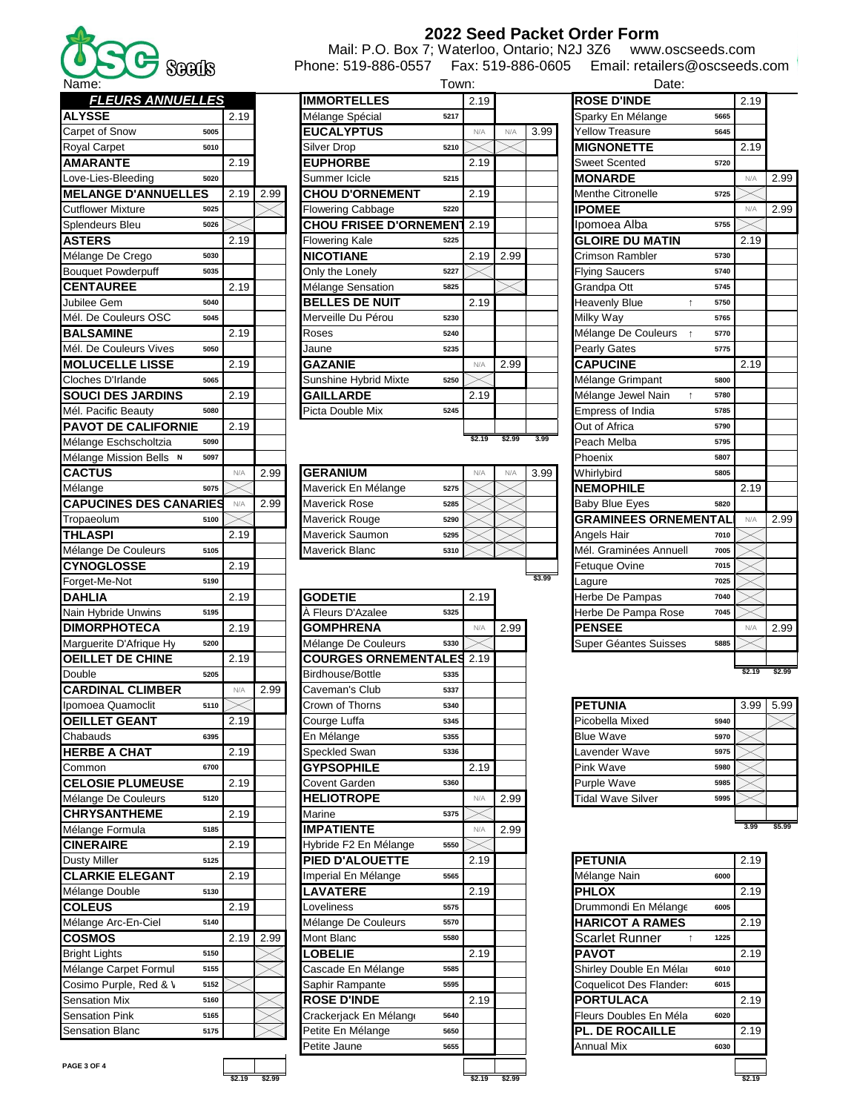| 2022 Seed Packet Order Form |  |  |  |
|-----------------------------|--|--|--|
|-----------------------------|--|--|--|

Mail: P.O. Box 7; Waterloo, Ontario; N2J 3Z6 www.oscseeds.com Phone: 519-886-0557 Fax: 519-886-0605 Email: retailers@oscseeds.com

| ivallity.                                        |      |      |                               | I UWII. |        |        |        | υαισ.                              |      |
|--------------------------------------------------|------|------|-------------------------------|---------|--------|--------|--------|------------------------------------|------|
| <b>FLEURS ANNUELLES</b>                          |      |      | <b>IMMORTELLES</b>            |         | 2.19   |        |        | <b>ROSE D'INDE</b>                 |      |
| <b>ALYSSE</b>                                    | 2.19 |      | Mélange Spécial               | 5217    |        |        |        | Sparky En Mélange                  | 5665 |
| Carpet of Snow<br>5005                           |      |      | <b>EUCALYPTUS</b>             |         | N/A    | N/A    | 3.99   | <b>Yellow Treasure</b>             | 5645 |
| <b>Royal Carpet</b><br>5010                      |      |      | Silver Drop                   | 5210    |        |        |        | <b>MIGNONETTE</b>                  |      |
| <b>AMARANTE</b>                                  | 2.19 |      | <b>EUPHORBE</b>               |         | 2.19   |        |        | <b>Sweet Scented</b>               | 5720 |
| Love-Lies-Bleeding<br>5020                       |      |      | Summer Icicle                 | 5215    |        |        |        | <b>MONARDE</b>                     |      |
| <b>MELANGE D'ANNUELLES</b>                       | 2.19 | 2.99 | <b>CHOU D'ORNEMENT</b>        |         | 2.19   |        |        | <b>Menthe Citronelle</b>           | 5725 |
| <b>Cutflower Mixture</b><br>5025                 |      |      | Flowering Cabbage             | 5220    |        |        |        | <b>IPOMEE</b>                      |      |
| Splendeurs Bleu<br>5026                          |      |      | <b>CHOU FRISEE D'ORNEMEN'</b> |         | 2.19   |        |        | Ipomoea Alba                       | 5755 |
| <b>ASTERS</b>                                    | 2.19 |      | <b>Flowering Kale</b>         | 5225    |        |        |        | <b>GLOIRE DU MATIN</b>             |      |
| Mélange De Crego<br>5030                         |      |      | <b>NICOTIANE</b>              |         | 2.19   | 2.99   |        | Crimson Rambler                    | 5730 |
| <b>Bouquet Powderpuff</b><br>5035                |      |      | Only the Lonely               | 5227    |        |        |        | <b>Flying Saucers</b>              | 5740 |
| <b>CENTAUREE</b>                                 | 2.19 |      | Mélange Sensation             | 5825    |        |        |        | Grandpa Ott                        | 5745 |
| Jubilee Gem<br>5040                              |      |      | <b>BELLES DE NUIT</b>         |         | 2.19   |        |        | <b>Heavenly Blue</b><br>$\uparrow$ | 5750 |
| Mél. De Couleurs OSC<br>5045                     |      |      | Merveille Du Pérou            | 5230    |        |        |        | Milky Way                          | 5765 |
| <b>BALSAMINE</b>                                 | 2.19 |      | Roses                         | 5240    |        |        |        | Mélange De Couleurs                | 5770 |
| Mél. De Couleurs Vives<br>5050                   |      |      | Jaune                         | 5235    |        |        |        | <b>Pearly Gates</b>                | 5775 |
| <b>MOLUCELLE LISSE</b>                           | 2.19 |      | <b>GAZANIE</b>                |         | N/A    | 2.99   |        | <b>CAPUCINE</b>                    |      |
| Cloches D'Irlande<br>5065                        |      |      | Sunshine Hybrid Mixte         | 5250    |        |        |        | Mélange Grimpant                   | 5800 |
| <b>SOUCI DES JARDINS</b>                         | 2.19 |      | <b>GAILLARDE</b>              |         | 2.19   |        |        | Mélange Jewel Nain<br>$\uparrow$   | 5780 |
| Mél. Pacific Beauty<br>5080                      |      |      | Picta Double Mix              | 5245    |        |        |        | <b>Empress of India</b>            | 5785 |
| <b>PAVOT DE CALIFORNIE</b>                       | 2.19 |      |                               |         |        |        |        | Out of Africa                      | 5790 |
| Mélange Eschscholtzia<br>5090                    |      |      |                               |         | \$2.19 | \$2.99 | 3.99   | Peach Melba                        | 5795 |
|                                                  |      |      |                               |         |        |        |        |                                    |      |
| Mélange Mission Bells N<br>5097<br><b>CACTUS</b> |      |      |                               |         |        |        |        | Phoenix                            | 5807 |
|                                                  | N/A  | 2.99 | <b>GERANIUM</b>               |         | N/A    | N/A    | 3.99   | Whirlybird                         | 5805 |
| Mélange<br>5075                                  |      |      | Maverick En Mélange           | 5275    |        |        |        | <b>INEMOPHILE</b>                  |      |
| <b>CAPUCINES DES CANARIES</b>                    | N/A  | 2.99 | <b>Maverick Rose</b>          | 5285    |        |        |        | <b>Baby Blue Eyes</b>              | 5820 |
| Tropaeolum<br>5100                               |      |      | Maverick Rouge                | 5290    |        |        |        | <b>GRAMINEES ORNEMENTAL</b>        |      |
| THLASPI                                          | 2.19 |      | Maverick Saumon               | 5295    |        |        |        | Angels Hair                        | 7010 |
| Mélange De Couleurs<br>5105                      |      |      | Maverick Blanc                | 5310    |        |        |        | Mél. Graminées Annuell             | 7005 |
| <b>CYNOGLOSSE</b>                                | 2.19 |      |                               |         |        |        | \$3.99 | Fetuque Ovine                      | 7015 |
| 5190<br>Forget-Me-Not                            |      |      |                               |         |        |        |        | _agure                             | 7025 |
| <b>DAHLIA</b>                                    | 2.19 |      | <b>GODETIE</b>                |         | 2.19   |        |        | Herbe De Pampas                    | 7040 |
| Nain Hybride Unwins<br>5195                      |      |      | À Fleurs D'Azalee             | 5325    |        |        |        | Herbe De Pampa Rose                | 7045 |
| <b>DIMORPHOTECA</b>                              | 2.19 |      | <b>GOMPHRENA</b>              |         | N/A    | 2.99   |        | <b>PENSEE</b>                      |      |
| Marguerite D'Afrique Hy<br>5200                  |      |      | Mélange De Couleurs           | 5330    |        |        |        | Super Géantes Suisses              | 5885 |
| <b>OEILLET DE CHINE</b>                          | 2.19 |      | <b>COURGES ORNEMENTALES</b>   |         | 2.19   |        |        |                                    |      |
| Double<br>5205                                   |      |      | Birdhouse/Bottle              | 5335    |        |        |        |                                    |      |
| <b>CARDINAL CLIMBER</b>                          | N/A  | 2.99 | Caveman's Club                | 5337    |        |        |        |                                    |      |
| Ipomoea Quamoclit<br>5110                        |      |      | Crown of Thorns               | 5340    |        |        |        | <b>PETUNIA</b>                     |      |
| <b>OEILLET GEANT</b>                             | 2.19 |      | Courge Luffa                  | 5345    |        |        |        | Picobella Mixed                    | 5940 |
| Chabauds<br>6395                                 |      |      | En Mélange                    | 5355    |        |        |        | Blue Wave                          | 5970 |
| <b>HERBE A CHAT</b>                              | 2.19 |      | Speckled Swan                 | 5336    |        |        |        | Lavender Wave                      | 5975 |
| Common<br>6700                                   |      |      | <b>GYPSOPHILE</b>             |         | 2.19   |        |        | <b>Pink Wave</b>                   | 5980 |
| <b>CELOSIE PLUMEUSE</b>                          | 2.19 |      | Covent Garden                 | 5360    |        |        |        | <b>Purple Wave</b>                 | 5985 |
| Mélange De Couleurs<br>5120                      |      |      | <b>HELIOTROPE</b>             |         | N/A    | 2.99   |        | <b>Tidal Wave Silver</b>           | 5995 |
| <b>CHRYSANTHEME</b>                              | 2.19 |      | Marine                        | 5375    |        |        |        |                                    |      |
| Mélange Formula<br>5185                          |      |      | <b>IMPATIENTE</b>             |         | N/A    | 2.99   |        |                                    |      |
| <b>CINERAIRE</b>                                 | 2.19 |      | Hybride F2 En Mélange         | 5550    |        |        |        |                                    |      |
| Dusty Miller<br>5125                             |      |      | PIED D'ALOUETTE               |         | 2.19   |        |        | <b>PETUNIA</b>                     |      |
| <b>CLARKIE ELEGANT</b>                           | 2.19 |      | Imperial En Mélange           | 5565    |        |        |        | Mélange Nain                       | 6000 |
| Mélange Double<br>5130                           |      |      | <b>LAVATERE</b>               |         | 2.19   |        |        | <b>PHLOX</b>                       |      |
| <b>COLEUS</b>                                    | 2.19 |      | _oveliness                    | 5575    |        |        |        | Drummondi En Mélange               | 6005 |
| Mélange Arc-En-Ciel<br>5140                      |      |      | Mélange De Couleurs           | 5570    |        |        |        | <b>HARICOT A RAMES</b>             |      |
| <b>COSMOS</b>                                    | 2.19 | 2.99 | Mont Blanc                    | 5580    |        |        |        | Scarlet Runner<br>$\uparrow$       | 1225 |
| Bright Lights<br>5150                            |      |      | <b>OBELIE</b>                 |         | 2.19   |        |        | <b>PAVOT</b>                       |      |
| Mélange Carpet Formul<br>5155                    |      |      | Cascade En Mélange            | 5585    |        |        |        | Shirley Double En Mélar            | 6010 |
| Cosimo Purple, Red & V<br>5152                   |      |      | Saphir Rampante               | 5595    |        |        |        | Coquelicot Des Flander:            | 6015 |
| Sensation Mix<br>5160                            |      |      | <b>ROSE D'INDE</b>            |         | 2.19   |        |        | <b>PORTULACA</b>                   |      |
| <b>Sensation Pink</b><br>5165                    |      |      | Crackerjack En Mélange        | 5640    |        |        |        | Fleurs Doubles En Méla             | 6020 |
| Sensation Blanc<br>5175                          |      |      | Petite En Mélange             | 5650    |        |        |        | PL. DE ROCAILLE                    |      |
|                                                  |      |      |                               |         |        |        |        |                                    |      |

| Name:                             |      |      | Town:                            | Date: |      |      |                          |      |      |      |
|-----------------------------------|------|------|----------------------------------|-------|------|------|--------------------------|------|------|------|
| <b>FLEURS ANNUELLES</b>           |      |      | <b>IMMORTELLES</b>               | 2.19  |      |      | <b>ROSE D'INDE</b>       |      | 2.19 |      |
| <b>ALYSSE</b>                     | 2.19 |      | Mélange Spécial<br>5217          |       |      |      | Sparky En Mélange        | 5665 |      |      |
| Carpet of Snow<br>5005            |      |      | <b>EUCALYPTUS</b>                | N/A   | N/A  | 3.99 | <b>Yellow Treasure</b>   | 5645 |      |      |
| Royal Carpet<br>5010              |      |      | Silver Drop<br>5210              |       |      |      | <b>MIGNONETTE</b>        |      | 2.19 |      |
| <b>AMARANTE</b>                   | 2.19 |      | <b>EUPHORBE</b>                  | 2.19  |      |      | <b>Sweet Scented</b>     | 5720 |      |      |
| Love-Lies-Bleeding<br>5020        |      |      | Summer Icicle<br>5215            |       |      |      | <b>MONARDE</b>           |      | N/A  | 2.99 |
| <b>MELANGE D'ANNUELLES</b>        | 2.19 | 2.99 | <b>CHOU D'ORNEMENT</b>           | 2.19  |      |      | <b>Menthe Citronelle</b> | 5725 |      |      |
| <b>Cutflower Mixture</b><br>5025  |      |      | <b>Flowering Cabbage</b><br>5220 |       |      |      | <b>IPOMEE</b>            |      | N/A  | 2.99 |
| Splendeurs Bleu<br>5026           |      |      | <b>CHOU FRISEE D'ORNEMENT</b>    | 2.19  |      |      | Ipomoea Alba             | 5755 |      |      |
| <b>ASTERS</b>                     | 2.19 |      | <b>Flowering Kale</b><br>5225    |       |      |      | <b>GLOIRE DU MATIN</b>   |      | 2.19 |      |
| Mélange De Crego<br>5030          |      |      | <b>NICOTIANE</b>                 | 2.19  | 2.99 |      | <b>Crimson Rambler</b>   | 5730 |      |      |
| <b>Bouquet Powderpuff</b><br>5035 |      |      | Only the Lonely<br>5227          |       |      |      | <b>Flying Saucers</b>    | 5740 |      |      |
| <b>CENTAUREE</b>                  | 2.19 |      | Mélange Sensation<br>5825        |       |      |      | Grandpa Ott              | 5745 |      |      |
| Jubilee Gem<br>5040               |      |      | <b>BELLES DE NUIT</b>            | 2.19  |      |      | <b>Heavenly Blue</b>     | 5750 |      |      |
| Mél. De Couleurs OSC<br>5045      |      |      | Merveille Du Pérou<br>5230       |       |      |      | Milky Way                | 5765 |      |      |
| <b>BALSAMINE</b>                  | 2.19 |      | Roses<br>5240                    |       |      |      | Mélange De Couleurs      | 5770 |      |      |
| Mél. De Couleurs Vives<br>5050    |      |      | Jaune<br>5235                    |       |      |      | <b>Pearly Gates</b>      | 5775 |      |      |
| <b>MOLUCELLE LISSE</b>            | 2.19 |      | <b>GAZANIE</b>                   | N/A   | 2.99 |      | <b>CAPUCINE</b>          |      | 2.19 |      |
| Cloches D'Irlande<br>5065         |      |      | Sunshine Hybrid Mixte<br>5250    |       |      |      | Mélange Grimpant         | 5800 |      |      |
| <b>SOUCI DES JARDINS</b>          | 2.19 |      | <b>GAILLARDE</b>                 | 2.19  |      |      | Mélange Jewel Nain       | 5780 |      |      |
| Mél. Pacific Beauty<br>5080       |      |      | Picta Double Mix<br>5245         |       |      |      | <b>Empress of India</b>  | 5785 |      |      |
| <b>PAVOT DE CALIFORNIE</b>        | 2.19 |      |                                  |       |      |      | Out of Africa            | 5790 |      |      |
|                                   |      |      |                                  |       |      |      |                          |      |      |      |

| <b>CACTUS</b>                 | N/A           | 2.99 | <b>GERANIUM</b>      |      | N/A | N/A | 3.99 | Whirlybird<br>5805            |      |      |
|-------------------------------|---------------|------|----------------------|------|-----|-----|------|-------------------------------|------|------|
| Mélange<br>5075               |               |      | Maverick En Mélange  | 5275 |     |     |      | <b>INEMOPHILE</b>             | 2.19 |      |
| <b>CAPUCINES DES CANARIES</b> | $NI/\Delta$   | 2.99 | <b>Maverick Rose</b> | 5285 |     |     |      | <b>Baby Blue Eyes</b><br>5820 |      |      |
| Tropaeolum<br>5100            |               |      | Maverick Rouge       | 5290 |     |     |      | <b>IGRAMINEES ORNEMENTALI</b> | N/f  | 2.99 |
| THLASPI                       | 2.19          |      | Maverick Saumon      | 5295 |     |     |      | Angels Hair<br>7010           |      |      |
| Mélange De Couleurs<br>5105   |               |      | Maverick Blanc       | 5310 |     |     |      | Mél. Graminées Annuel<br>7005 |      |      |
| $\bigcap_{n=1}^{\infty}$      | $\sim$ $\sim$ |      |                      |      |     |     |      | $-1$                          |      |      |

| Forget-Me-Not           | วางบ |      |      |                                  |      |      | Lagure                       | 7025 |        |        |
|-------------------------|------|------|------|----------------------------------|------|------|------------------------------|------|--------|--------|
| <b>DAHLIA</b>           |      | 2.19 |      | <b>GODETIE</b>                   | 2.19 |      | Herbe De Pampas              | 7040 |        |        |
| Nain Hybride Unwins     | 5195 |      |      | À Fleurs D'Azalee<br>5325        |      |      | Herbe De Pampa Rose          | 7045 |        |        |
| <b>DIMORPHOTECA</b>     |      | 2.19 |      | <b>GOMPHRENA</b>                 | N/A  | 2.99 | <b>PENSEE</b>                |      | N/A    | 2.99   |
| Marquerite D'Afrique Hy | 5200 |      |      | Mélange De Couleurs<br>5330      |      |      | <b>Super Géantes Suisses</b> | 5885 |        |        |
| <b>OEILLET DE CHINE</b> |      | 2.19 |      | <b>COURGES ORNEMENTALES 2.19</b> |      |      |                              |      |        |        |
| Double                  | 5205 |      |      | Birdhouse/Bottle<br>5335         |      |      |                              |      | \$2.19 | \$2.99 |
| <b>CARDINAL CLIMBER</b> |      | N/A  | 2.99 | Caveman's Club<br>5337           |      |      |                              |      |        |        |
| Ipomoea Quamoclit       | 5110 |      |      | Crown of Thorns<br>5340          |      |      | <b>PETUNIA</b>               |      | 3.99   | 5.99   |
| <b>OEILLET GEANT</b>    |      | 2.19 |      | Courge Luffa<br>5345             |      |      | Picobella Mixed              | 5940 |        |        |
| Chabauds                | 6395 |      |      | En Mélange<br>5355               |      |      | <b>Blue Wave</b>             | 5970 |        |        |
| <b>HERBE A CHAT</b>     |      | 2.19 |      | Speckled Swan<br>5336            |      |      | Lavender Wave                | 5975 |        |        |
| Common                  | 6700 |      |      | <b>GYPSOPHILE</b>                | 2.19 |      | Pink Wave                    | 5980 |        |        |
| <b>CELOSIE PLUMEUSE</b> |      | 2.19 |      | Covent Garden<br>5360            |      |      | <b>Purple Wave</b>           | 5985 |        |        |
| Mélange De Couleurs     | 5120 |      |      | <b>HELIOTROPE</b>                | N/A  | 2.99 | <b>Tidal Wave Silver</b>     | 5995 |        |        |
| <b>CHRYSANTHEME</b>     |      | 2.19 |      | Marine<br>5375                   |      |      |                              |      |        |        |
| Mélange Formula         | 5185 |      |      | <b>IMPATIENTE</b>                | N/A  | 2.99 |                              |      | 3.99   | \$5.99 |
| <b>CINERAIRE</b>        |      | 2.19 |      | Hybride F2 En Mélange<br>5550    |      |      |                              |      |        |        |
| <b>Dusty Miller</b>     | 5125 |      |      | PIED D'ALOUETTE                  | 2.19 |      | <b>PETUNIA</b>               |      | 2.19   |        |
| <b>CLARKIE ELEGANT</b>  |      | 2.19 |      | Imperial En Mélange<br>5565      |      |      | Mélange Nain                 | 6000 |        |        |
| Mélange Double          | 5130 |      |      | LAVATERE                         | 2.19 |      | <b>PHLOX</b>                 |      | 2.19   |        |
| <b>COLEUS</b>           |      | 2.19 |      | Loveliness<br>5575               |      |      | Drummondi En Mélange         | 6005 |        |        |
| Mélange Arc-En-Ciel     | 5140 |      |      | Mélange De Couleurs<br>5570      |      |      | <b>HARICOT A RAMES</b>       |      | 2.19   |        |
| <b>COSMOS</b>           |      | 2.19 | 2.99 | Mont Blanc<br>5580               |      |      | Scarlet Runner               | 1225 |        |        |
| <b>Bright Lights</b>    | 5150 |      |      | <b>LOBELIE</b>                   | 2.19 |      | <b>PAVOT</b>                 |      | 2.19   |        |
| Mélange Carpet Formul   | 5155 |      |      | Cascade En Mélange<br>5585       |      |      | Shirley Double En Mélar      | 6010 |        |        |
| Cosimo Purple, Red & V  | 5152 |      |      | Saphir Rampante<br>5595          |      |      | Coquelicot Des Flander:      | 6015 |        |        |
| <b>Sensation Mix</b>    | 5160 |      |      | <b>ROSE D'INDE</b>               | 2.19 |      | <b>PORTULACA</b>             |      | 2.19   |        |
| <b>Sensation Pink</b>   | 5165 |      |      | Crackerjack En Mélange<br>5640   |      |      | Fleurs Doubles En Méla       | 6020 |        |        |
| <b>Sensation Blanc</b>  | 5175 |      |      | Petite En Mélange<br>5650        |      |      | <b>PL. DE ROCAILLE</b>       |      | 2.19   |        |
|                         |      |      |      | Petite Jaune<br>5655             |      |      | <b>Annual Mix</b>            | 6030 |        |        |
| PAGE 3 OF 4             |      |      |      |                                  |      |      |                              |      |        |        |
|                         |      |      |      |                                  |      |      |                              |      |        |        |

| Date:                              |      |        |        |
|------------------------------------|------|--------|--------|
| <b>ROSE D'INDE</b>                 |      | 2.19   |        |
| Sparky En Mélange                  | 5665 |        |        |
| <b>Yellow Treasure</b>             |      |        |        |
| <b>MIGNONETTE</b>                  |      | 2.19   |        |
| <b>Sweet Scented</b>               | 5720 |        |        |
| <b>MONARDE</b>                     |      | N/A    | 2.99   |
| <b>Menthe Citronelle</b>           | 5725 |        |        |
| <b>IPOMEE</b>                      |      | N/A    | 2.99   |
| Ipomoea Alba                       | 5755 |        |        |
| <b>GLOIRE DU MATIN</b>             |      | 2.19   |        |
| Crimson Rambler                    | 5730 |        |        |
| <b>Flying Saucers</b>              | 5740 |        |        |
| Grandpa Ott                        | 5745 |        |        |
| <b>Heavenly Blue</b><br>$\uparrow$ | 5750 |        |        |
| Milky Way                          | 5765 |        |        |
| Mélange De Couleurs<br>$\uparrow$  | 5770 |        |        |
| Pearly Gates                       | 5775 |        |        |
| <b>CAPUCINE</b>                    |      | 2.19   |        |
| Mélange Grimpant                   | 5800 |        |        |
| Mélange Jewel Nain<br>$\uparrow$   | 5780 |        |        |
| Empress of India                   | 5785 |        |        |
| Out of Africa                      | 5790 |        |        |
| Peach Melba                        | 5795 |        |        |
| Phoenix                            | 5807 |        |        |
| Whirlybird                         | 5805 |        |        |
| <b>NEMOPHILE</b>                   |      | 2.19   |        |
| <b>Baby Blue Eyes</b>              | 5820 |        |        |
| <b>GRAMINEES ORNEMENTAL</b>        |      | N/A    | 2.99   |
| Angels Hair                        | 7010 |        |        |
| Mél. Graminées Annuel              | 7005 |        |        |
| Fetuque Ovine                      | 7015 |        |        |
| Lagure                             | 7025 |        |        |
| Herbe De Pampas                    | 7040 |        |        |
| Herbe De Pampa Rose                | 7045 |        |        |
| <b>PENSEE</b>                      |      | N/A    | 2.99   |
| Super Géantes Suisses              | 5885 |        |        |
|                                    |      |        |        |
|                                    |      | \$2.19 | \$2.99 |

| <b>PETUNIA</b>           |      | 3.99 | 5.99 |
|--------------------------|------|------|------|
| Picobella Mixed          | 5940 |      |      |
| <b>Blue Wave</b>         | 5970 |      |      |
| Lavender Wave            | 5975 |      |      |
| Pink Wave                | 5980 |      |      |
| Purple Wave              | 5985 |      |      |
| <b>Tidal Wave Silver</b> | 5995 |      |      |
|                          |      |      |      |

| <b>PETUNIA</b>          |      | 2.19 |
|-------------------------|------|------|
| Mélange Nain            | 6000 |      |
| <b>PHLOX</b>            |      | 2.19 |
| Drummondi En Mélange    | 6005 |      |
| <b>HARICOT A RAMES</b>  |      | 2.19 |
| <b>Scarlet Runner</b>   | 1225 |      |
| <b>PAVOT</b>            |      | 2.19 |
| Shirley Double En Méla  | 6010 |      |
| Coquelicot Des Flander: | 6015 |      |
| <b>PORTULACA</b>        |      | 2.19 |
| Fleurs Doubles En Méla  | 6020 |      |
| <b>PL. DE ROCAILLE</b>  |      | 2.19 |
| <b>Annual Mix</b>       | 6030 |      |
|                         |      |      |